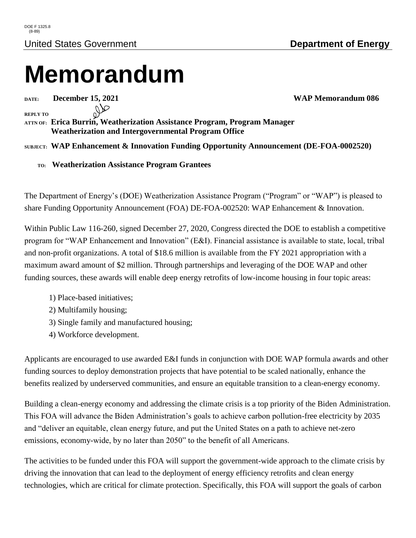## **Memorandum**

**DATE: December 15, 2021 WAP Memorandum 086**

**REPLY TO**

**ATTN OF: Erica Burrin, Weatherization Assistance Program, Program Manager Weatherization and Intergovernmental Program Office**

**SUBJECT: WAP Enhancement & Innovation Funding Opportunity Announcement (DE-FOA-0002520)**

 **TO: Weatherization Assistance Program Grantees**

The Department of Energy's (DOE) Weatherization Assistance Program ("Program" or "WAP") is pleased to share Funding Opportunity Announcement (FOA) DE-FOA-002520: WAP Enhancement & Innovation.

Within Public Law 116-260, signed December 27, 2020, Congress directed the DOE to establish a competitive program for "WAP Enhancement and Innovation" (E&I). Financial assistance is available to state, local, tribal and non-profit organizations. A total of \$18.6 million is available from the FY 2021 appropriation with a maximum award amount of \$2 million. Through partnerships and leveraging of the DOE WAP and other funding sources, these awards will enable deep energy retrofits of low-income housing in four topic areas:

- 1) Place-based initiatives;
- 2) Multifamily housing;
- 3) Single family and manufactured housing;
- 4) Workforce development.

Applicants are encouraged to use awarded E&I funds in conjunction with DOE WAP formula awards and other funding sources to deploy demonstration projects that have potential to be scaled nationally, enhance the benefits realized by underserved communities, and ensure an equitable transition to a clean-energy economy.

Building a clean-energy economy and addressing the climate crisis is a top priority of the Biden Administration. This FOA will advance the Biden Administration's goals to achieve carbon pollution-free electricity by 2035 and "deliver an equitable, clean energy future, and put the United States on a path to achieve net-zero emissions, economy-wide, by no later than 2050" to the benefit of all Americans.

The activities to be funded under this FOA will support the government-wide approach to the climate crisis by driving the innovation that can lead to the deployment of energy efficiency retrofits and clean energy technologies, which are critical for climate protection. Specifically, this FOA will support the goals of carbon